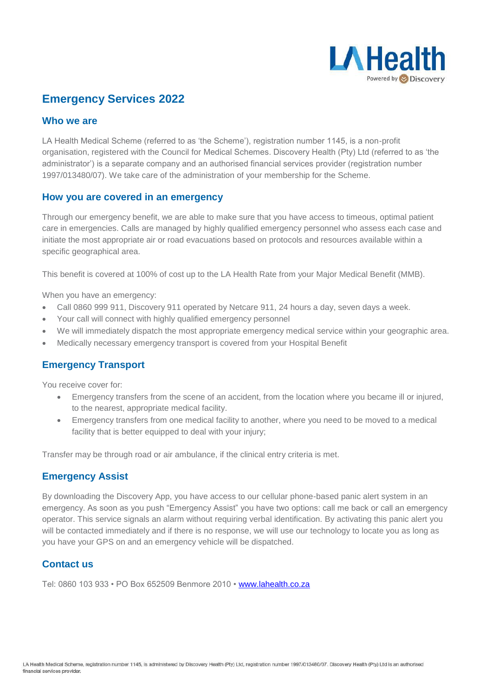

# **Emergency Services 2022**

### **Who we are**

LA Health Medical Scheme (referred to as 'the Scheme'), registration number 1145, is a non-profit organisation, registered with the Council for Medical Schemes. Discovery Health (Pty) Ltd (referred to as 'the administrator') is a separate company and an authorised financial services provider (registration number 1997/013480/07). We take care of the administration of your membership for the Scheme.

#### **How you are covered in an emergency**

Through our emergency benefit, we are able to make sure that you have access to timeous, optimal patient care in emergencies. Calls are managed by highly qualified emergency personnel who assess each case and initiate the most appropriate air or road evacuations based on protocols and resources available within a specific geographical area.

This benefit is covered at 100% of cost up to the LA Health Rate from your Major Medical Benefit (MMB).

When you have an emergency:

- Call 0860 999 911, Discovery 911 operated by Netcare 911, 24 hours a day, seven days a week.
- Your call will connect with highly qualified emergency personnel
- We will immediately dispatch the most appropriate emergency medical service within your geographic area.
- Medically necessary emergency transport is covered from your Hospital Benefit

## **Emergency Transport**

You receive cover for:

- Emergency transfers from the scene of an accident, from the location where you became ill or injured, to the nearest, appropriate medical facility.
- Emergency transfers from one medical facility to another, where you need to be moved to a medical facility that is better equipped to deal with your injury;

Transfer may be through road or air ambulance, if the clinical entry criteria is met.

#### **Emergency Assist**

By downloading the Discovery App, you have access to our cellular phone-based panic alert system in an emergency. As soon as you push "Emergency Assist" you have two options: call me back or call an emergency operator. This service signals an alarm without requiring verbal identification. By activating this panic alert you will be contacted immediately and if there is no response, we will use our technology to locate you as long as you have your GPS on and an emergency vehicle will be dispatched.

### **Contact us**

Tel: 0860 103 933 • PO Box 652509 Benmore 2010 • [www.lahealth.co.za](http://www.lahealth.co.za/)